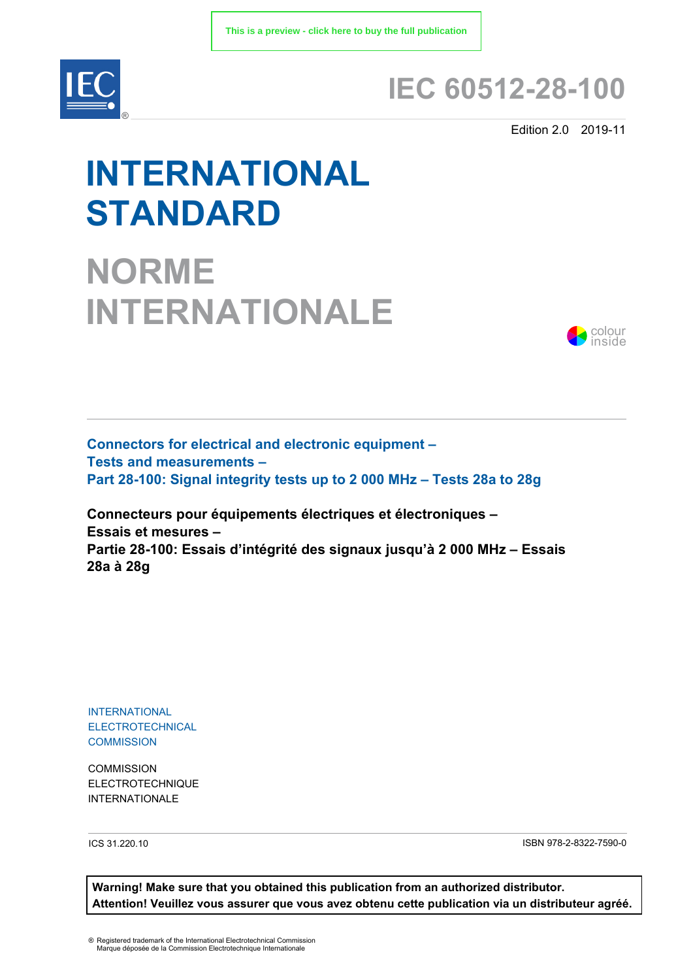

# **IEC 60512-28-100**

Edition 2.0 2019-11

# **INTERNATIONAL STANDARD**

**NORME INTERNATIONALE**



**Connectors for electrical and electronic equipment – Tests and measurements – Part 28-100: Signal integrity tests up to 2 000 MHz – Tests 28a to 28g**

**Connecteurs pour équipements électriques et électroniques – Essais et mesures – Partie 28-100: Essais d'intégrité des signaux jusqu'à 2 000 MHz – Essais 28a à 28g**

INTERNATIONAL ELECTROTECHNICAL **COMMISSION** 

**COMMISSION** ELECTROTECHNIQUE INTERNATIONALE

ICS 31.220.10 ISBN 978-2-8322-7590-0

**Warning! Make sure that you obtained this publication from an authorized distributor. Attention! Veuillez vous assurer que vous avez obtenu cette publication via un distributeur agréé.**

® Registered trademark of the International Electrotechnical Commission Marque déposée de la Commission Electrotechnique Internationale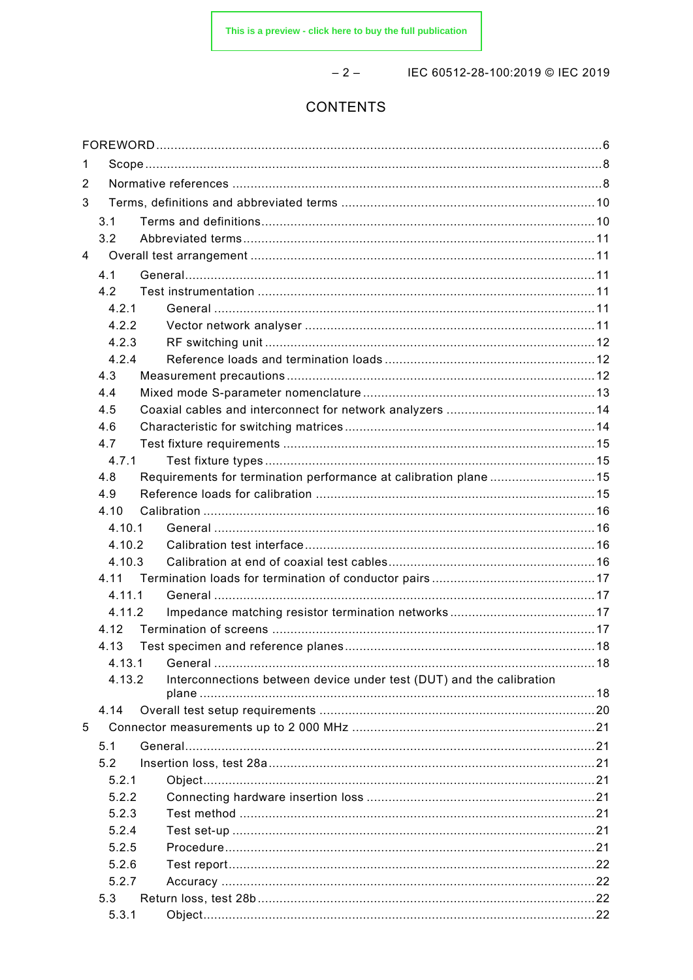$-2-$ 

IEC 60512-28-100:2019 © IEC 2019

# CONTENTS

| 1 |        |  |                                                                      |  |
|---|--------|--|----------------------------------------------------------------------|--|
| 2 |        |  |                                                                      |  |
| 3 |        |  |                                                                      |  |
|   | 3.1    |  |                                                                      |  |
|   | 3.2    |  |                                                                      |  |
| 4 |        |  |                                                                      |  |
|   | 4.1    |  |                                                                      |  |
|   | 4.2    |  |                                                                      |  |
|   | 4.2.1  |  |                                                                      |  |
|   | 4.2.2  |  |                                                                      |  |
|   | 4.2.3  |  |                                                                      |  |
|   | 4.2.4  |  |                                                                      |  |
|   | 4.3    |  |                                                                      |  |
|   | 4.4    |  |                                                                      |  |
|   | 4.5    |  |                                                                      |  |
|   | 4.6    |  |                                                                      |  |
|   | 4.7    |  |                                                                      |  |
|   | 4.7.1  |  |                                                                      |  |
|   | 4.8    |  | Requirements for termination performance at calibration plane  15    |  |
|   | 4.9    |  |                                                                      |  |
|   | 4.10   |  |                                                                      |  |
|   | 4.10.1 |  |                                                                      |  |
|   | 4.10.2 |  |                                                                      |  |
|   | 4.10.3 |  |                                                                      |  |
|   | 4.11   |  |                                                                      |  |
|   | 4.11.1 |  |                                                                      |  |
|   | 4.11.2 |  |                                                                      |  |
|   | 4.12   |  |                                                                      |  |
|   | 4.13   |  |                                                                      |  |
|   | 4.13.1 |  |                                                                      |  |
|   | 4.13.2 |  | Interconnections between device under test (DUT) and the calibration |  |
|   | 4.14   |  |                                                                      |  |
| 5 |        |  |                                                                      |  |
|   | 5.1    |  |                                                                      |  |
|   | 5.2    |  |                                                                      |  |
|   | 5.2.1  |  |                                                                      |  |
|   | 5.2.2  |  |                                                                      |  |
|   | 5.2.3  |  |                                                                      |  |
|   | 5.2.4  |  |                                                                      |  |
|   | 5.2.5  |  |                                                                      |  |
|   | 5.2.6  |  |                                                                      |  |
|   | 5.2.7  |  |                                                                      |  |
|   | 5.3    |  |                                                                      |  |
|   | 5.3.1  |  |                                                                      |  |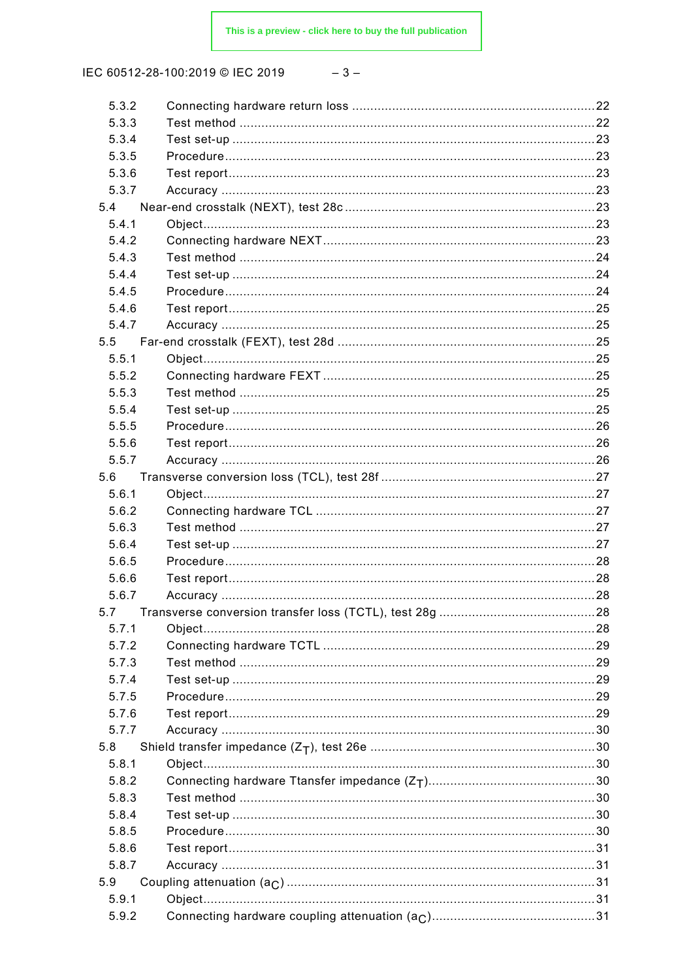IEC 60512-28-100:2019 © IEC 2019  $-3-$ 

| 5.3.2 |                                                |  |
|-------|------------------------------------------------|--|
| 5.3.3 |                                                |  |
| 5.3.4 |                                                |  |
| 5.3.5 |                                                |  |
| 5.3.6 |                                                |  |
| 5.3.7 |                                                |  |
| 5.4   |                                                |  |
| 5.4.1 |                                                |  |
| 5.4.2 |                                                |  |
| 5.4.3 |                                                |  |
| 5.4.4 |                                                |  |
| 5.4.5 |                                                |  |
| 5.4.6 |                                                |  |
| 5.4.7 |                                                |  |
| 5.5   |                                                |  |
| 5.5.1 |                                                |  |
| 5.5.2 |                                                |  |
| 5.5.3 |                                                |  |
| 5.5.4 |                                                |  |
| 5.5.5 |                                                |  |
| 5.5.6 |                                                |  |
| 5.5.7 |                                                |  |
| 5.6   |                                                |  |
| 5.6.1 |                                                |  |
| 5.6.2 |                                                |  |
| 5.6.3 |                                                |  |
| 5.6.4 |                                                |  |
| 5.6.5 |                                                |  |
| 5.6.6 |                                                |  |
| 5.6.7 |                                                |  |
|       |                                                |  |
| 5.7.1 |                                                |  |
| 5.7.2 |                                                |  |
| 5.7.3 |                                                |  |
| 5.7.4 |                                                |  |
| 5.7.5 |                                                |  |
| 5.7.6 |                                                |  |
| 5.7.7 |                                                |  |
| 5.8   |                                                |  |
| 5.8.1 |                                                |  |
| 5.8.2 |                                                |  |
| 5.8.3 |                                                |  |
| 5.8.4 |                                                |  |
| 5.8.5 |                                                |  |
| 5.8.6 | Test report………………………………………………………………………………………31 |  |
| 5.8.7 |                                                |  |
| 5.9   |                                                |  |
| 5.9.1 |                                                |  |
| 5.9.2 |                                                |  |
|       |                                                |  |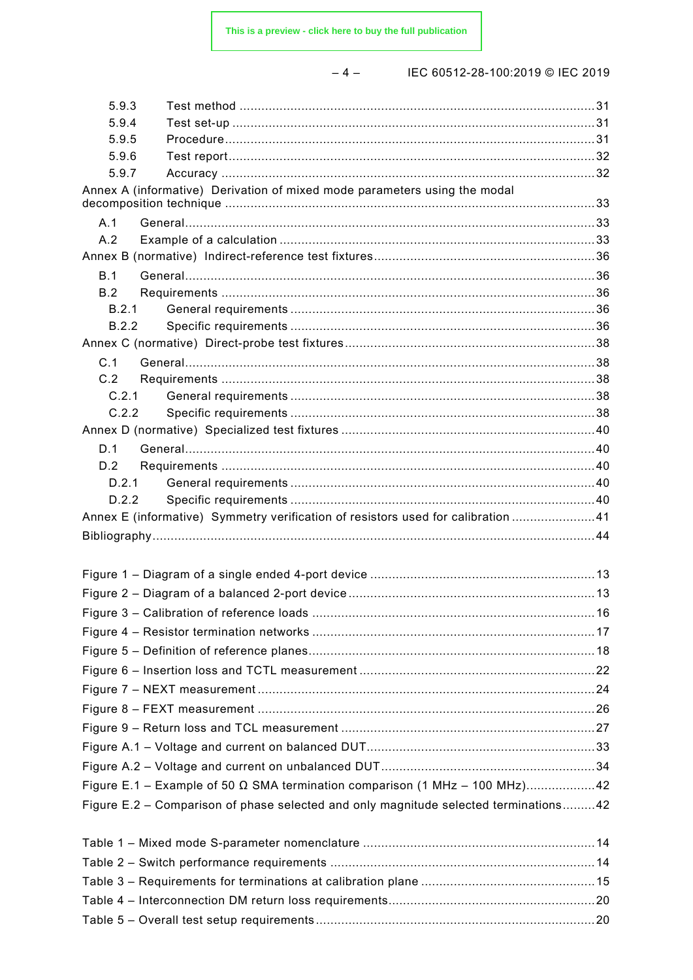IEC 60512-28-100:2019 © IEC 2019

| 5.9.3 |                                                                                      |  |
|-------|--------------------------------------------------------------------------------------|--|
| 5.9.4 |                                                                                      |  |
| 5.9.5 |                                                                                      |  |
| 5.9.6 |                                                                                      |  |
| 5.9.7 |                                                                                      |  |
|       | Annex A (informative) Derivation of mixed mode parameters using the modal            |  |
|       |                                                                                      |  |
| A.1   |                                                                                      |  |
| A.2   |                                                                                      |  |
|       |                                                                                      |  |
| B.1   |                                                                                      |  |
| B.2   |                                                                                      |  |
| B.2.1 |                                                                                      |  |
| B.2.2 |                                                                                      |  |
|       |                                                                                      |  |
| C.1   |                                                                                      |  |
| C.2   |                                                                                      |  |
| C.2.1 |                                                                                      |  |
| C.2.2 |                                                                                      |  |
|       |                                                                                      |  |
| D.1   |                                                                                      |  |
| D.2   |                                                                                      |  |
| D.2.1 |                                                                                      |  |
| D.2.2 |                                                                                      |  |
|       | Annex E (informative) Symmetry verification of resistors used for calibration 41     |  |
|       |                                                                                      |  |
|       |                                                                                      |  |
|       |                                                                                      |  |
|       |                                                                                      |  |
|       |                                                                                      |  |
|       |                                                                                      |  |
|       |                                                                                      |  |
|       |                                                                                      |  |
|       |                                                                                      |  |
|       |                                                                                      |  |
|       |                                                                                      |  |
|       |                                                                                      |  |
|       |                                                                                      |  |
|       |                                                                                      |  |
|       | Figure E.1 - Example of 50 Ω SMA termination comparison (1 MHz - 100 MHz)42          |  |
|       | Figure E.2 - Comparison of phase selected and only magnitude selected terminations42 |  |
|       |                                                                                      |  |
|       |                                                                                      |  |
|       |                                                                                      |  |
|       |                                                                                      |  |
|       |                                                                                      |  |
|       |                                                                                      |  |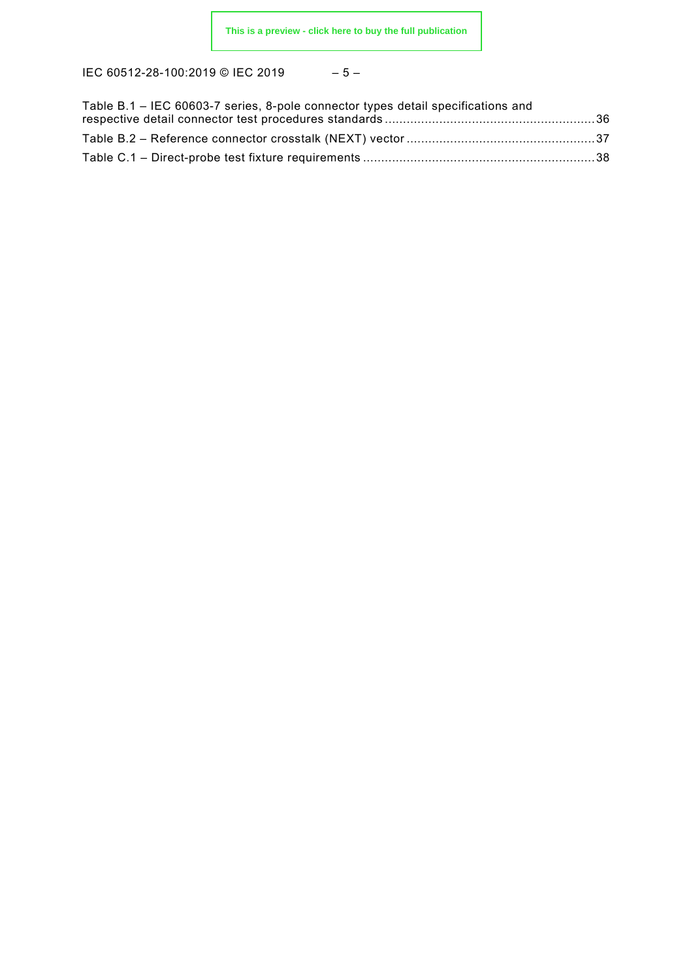IEC 60512-28-100:2019 © IEC 2019 – 5 –

| Table B.1 – IEC 60603-7 series, 8-pole connector types detail specifications and |  |
|----------------------------------------------------------------------------------|--|
|                                                                                  |  |
|                                                                                  |  |
|                                                                                  |  |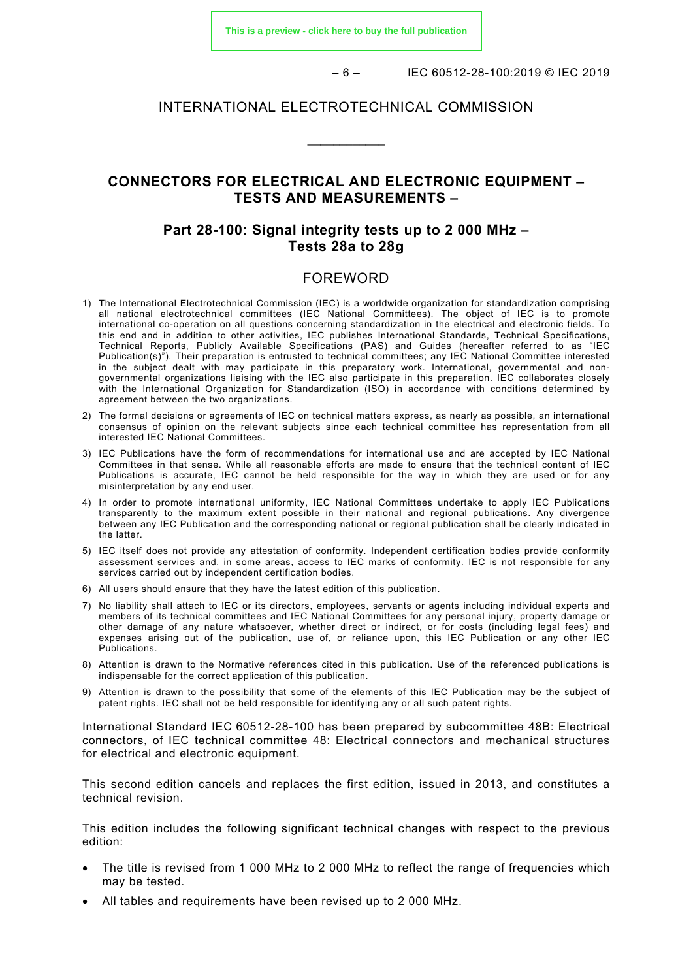**[This is a preview - click here to buy the full publication](https://webstore.iec.ch/publication/28694&preview)**

 $-6 -$  IEC 60512-28-100:2019 © IEC 2019

#### INTERNATIONAL ELECTROTECHNICAL COMMISSION

\_\_\_\_\_\_\_\_\_\_\_\_

#### **CONNECTORS FOR ELECTRICAL AND ELECTRONIC EQUIPMENT – TESTS AND MEASUREMENTS –**

# **Part 28-100: Signal integrity tests up to 2 000 MHz – Tests 28a to 28g**

### FOREWORD

- <span id="page-5-0"></span>1) The International Electrotechnical Commission (IEC) is a worldwide organization for standardization comprising all national electrotechnical committees (IEC National Committees). The object of IEC is to promote international co-operation on all questions concerning standardization in the electrical and electronic fields. To this end and in addition to other activities, IEC publishes International Standards, Technical Specifications, Technical Reports, Publicly Available Specifications (PAS) and Guides (hereafter referred to as "IEC Publication(s)"). Their preparation is entrusted to technical committees; any IEC National Committee interested in the subject dealt with may participate in this preparatory work. International, governmental and nongovernmental organizations liaising with the IEC also participate in this preparation. IEC collaborates closely with the International Organization for Standardization (ISO) in accordance with conditions determined by agreement between the two organizations.
- 2) The formal decisions or agreements of IEC on technical matters express, as nearly as possible, an international consensus of opinion on the relevant subjects since each technical committee has representation from all interested IEC National Committees.
- 3) IEC Publications have the form of recommendations for international use and are accepted by IEC National Committees in that sense. While all reasonable efforts are made to ensure that the technical content of IEC Publications is accurate, IEC cannot be held responsible for the way in which they are used or for any misinterpretation by any end user.
- 4) In order to promote international uniformity, IEC National Committees undertake to apply IEC Publications transparently to the maximum extent possible in their national and regional publications. Any divergence between any IEC Publication and the corresponding national or regional publication shall be clearly indicated in the latter.
- 5) IEC itself does not provide any attestation of conformity. Independent certification bodies provide conformity assessment services and, in some areas, access to IEC marks of conformity. IEC is not responsible for any services carried out by independent certification bodies.
- 6) All users should ensure that they have the latest edition of this publication.
- 7) No liability shall attach to IEC or its directors, employees, servants or agents including individual experts and members of its technical committees and IEC National Committees for any personal injury, property damage or other damage of any nature whatsoever, whether direct or indirect, or for costs (including legal fees) and expenses arising out of the publication, use of, or reliance upon, this IEC Publication or any other IEC Publications.
- 8) Attention is drawn to the Normative references cited in this publication. Use of the referenced publications is indispensable for the correct application of this publication.
- 9) Attention is drawn to the possibility that some of the elements of this IEC Publication may be the subject of patent rights. IEC shall not be held responsible for identifying any or all such patent rights.

International Standard IEC 60512-28-100 has been prepared by subcommittee 48B: Electrical connectors, of IEC technical committee 48: Electrical connectors and mechanical structures for electrical and electronic equipment.

This second edition cancels and replaces the first edition, issued in 2013, and constitutes a technical revision.

This edition includes the following significant technical changes with respect to the previous edition:

- The title is revised from 1 000 MHz to 2 000 MHz to reflect the range of frequencies which may be tested.
- All tables and requirements have been revised up to 2 000 MHz.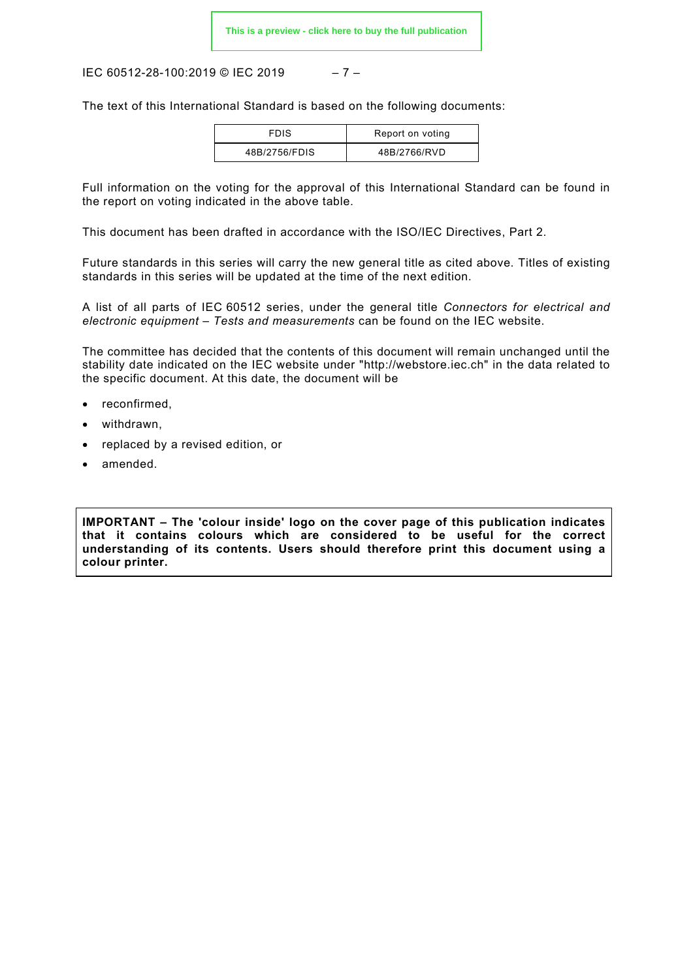IEC 60512-28-100:2019 © IEC 2019 – 7 –

The text of this International Standard is based on the following documents:

| <b>FDIS</b>   | Report on voting |
|---------------|------------------|
| 48B/2756/FDIS | 48B/2766/RVD     |

Full information on the voting for the approval of this International Standard can be found in the report on voting indicated in the above table.

This document has been drafted in accordance with the ISO/IEC Directives, Part 2.

Future standards in this series will carry the new general title as cited above. Titles of existing standards in this series will be updated at the time of the next edition.

A list of all parts of IEC 60512 series, under the general title *Connectors for electrical and electronic equipment – Tests and measurements* can be found on the IEC website.

The committee has decided that the contents of this document will remain unchanged until the stability date indicated on the IEC website under ["http://webstore.iec.ch"](http://webstore.iec.ch/) in the data related to the specific document. At this date, the document will be

- reconfirmed,
- withdrawn,
- replaced by a revised edition, or
- amended.

**IMPORTANT – The 'colour inside' logo on the cover page of this publication indicates that it contains colours which are considered to be useful for the correct understanding of its contents. Users should therefore print this document using a colour printer.**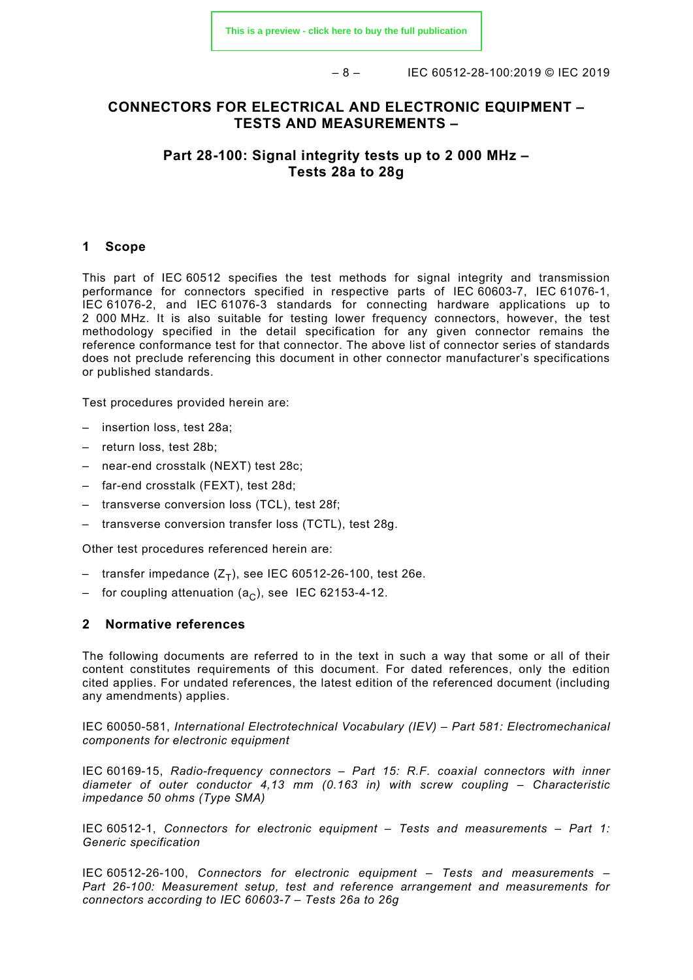$-8 -$  IEC 60512-28-100:2019 © IEC 2019

# **CONNECTORS FOR ELECTRICAL AND ELECTRONIC EQUIPMENT – TESTS AND MEASUREMENTS –**

# **Part 28-100: Signal integrity tests up to 2 000 MHz – Tests 28a to 28g**

#### <span id="page-7-0"></span>**1 Scope**

This part of IEC 60512 specifies the test methods for signal integrity and transmission performance for connectors specified in respective parts of IEC 60603-7, IEC 61076-1, IEC 61076-2, and IEC 61076-3 standards for connecting hardware applications up to 2 000 MHz. It is also suitable for testing lower frequency connectors, however, the test methodology specified in the detail specification for any given connector remains the reference conformance test for that connector. The above list of connector series of standards does not preclude referencing this document in other connector manufacturer's specifications or published standards.

Test procedures provided herein are:

- insertion loss, test 28a;
- return loss, test 28b;
- near-end crosstalk (NEXT) test 28c;
- far-end crosstalk (FEXT), test 28d;
- transverse conversion loss (TCL), test 28f;
- transverse conversion transfer loss (TCTL), test 28g.

Other test procedures referenced herein are:

- transfer impedance  $(Z_T)$ , see IEC 60512-26-100, test 26e.
- for coupling attenuation  $(a<sub>C</sub>)$ , see IEC 62153-4-12.

#### <span id="page-7-1"></span>**2 Normative references**

The following documents are referred to in the text in such a way that some or all of their content constitutes requirements of this document. For dated references, only the edition cited applies. For undated references, the latest edition of the referenced document (including any amendments) applies.

IEC 60050-581, *International Electrotechnical Vocabulary (IEV) – Part 581: Electromechanical components for electronic equipment* 

IEC 60169-15, *Radio-frequency connectors – Part 15: R.F. coaxial connectors with inner diameter of outer conductor 4,13 mm (0.163 in) with screw coupling – Characteristic impedance 50 ohms (Type SMA)*

IEC 60512-1, *Connectors for electronic equipment – Tests and measurements – Part 1: Generic specification*

IEC 60512-26-100, *Connectors for electronic equipment – Tests and measurements – Part 26-100: Measurement setup, test and reference arrangement and measurements for connectors according to IEC 60603-7 – Tests 26a to 26g*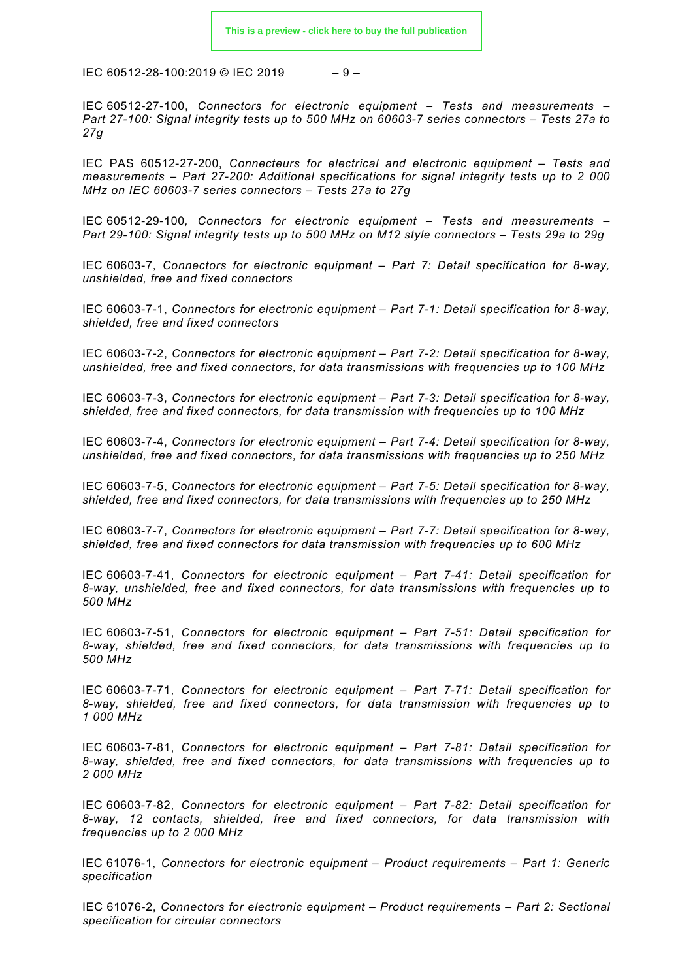IEC 60512-28-100:2019 © IEC 2019 – 9 –

IEC 60512-27-100, *Connectors for electronic equipment – Tests and measurements – Part 27-100: Signal integrity tests up to 500 MHz on 60603-7 series connectors – Tests 27a to 27g*

IEC PAS 60512-27-200, *Connecteurs for electrical and electronic equipment – Tests and measurements – Part 27-200: Additional specifications for signal integrity tests up to 2 000 MHz on IEC 60603-7 series connectors – Tests 27a to 27g*

IEC 60512-29-100*, Connectors for electronic equipment – Tests and measurements – Part 29-100: Signal integrity tests up to 500 MHz on M12 style connectors – Tests 29a to 29g*

IEC 60603-7, *Connectors for electronic equipment – Part 7: Detail specification for 8-way, unshielded, free and fixed connectors*

IEC 60603-7-1, *Connectors for electronic equipment – Part 7-1: Detail specification for 8-way, shielded, free and fixed connectors*

IEC 60603-7-2, *Connectors for electronic equipment – Part 7-2: Detail specification for 8-way, unshielded, free and fixed connectors, for data transmissions with frequencies up to 100 MHz*

IEC 60603-7-3, *Connectors for electronic equipment – Part 7-3: Detail specification for 8-way, shielded, free and fixed connectors, for data transmission with frequencies up to 100 MHz*

IEC 60603-7-4, *Connectors for electronic equipment – Part 7-4: Detail specification for 8-way, unshielded, free and fixed connectors, for data transmissions with frequencies up to 250 MHz*

IEC 60603-7-5, *Connectors for electronic equipment – Part 7-5: Detail specification for 8-way, shielded, free and fixed connectors, for data transmissions with frequencies up to 250 MHz*

IEC 60603-7-7, *Connectors for electronic equipment – Part 7-7: Detail specification for 8-way, shielded, free and fixed connectors for data transmission with frequencies up to 600 MHz*

IEC 60603-7-41, *Connectors for electronic equipment – Part 7-41: Detail specification for 8-way, unshielded, free and fixed connectors, for data transmissions with frequencies up to 500 MHz*

IEC 60603-7-51, *Connectors for electronic equipment – Part 7-51: Detail specification for 8-way, shielded, free and fixed connectors, for data transmissions with frequencies up to 500 MHz*

IEC 60603-7-71, *Connectors for electronic equipment – Part 7-71: Detail specification for 8-way, shielded, free and fixed connectors, for data transmission with frequencies up to 1 000 MHz*

IEC 60603-7-81, *Connectors for electronic equipment – Part 7-81: Detail specification for 8-way, shielded, free and fixed connectors, for data transmissions with frequencies up to 2 000 MHz*

IEC 60603-7-82, *Connectors for electronic equipment – Part 7-82: Detail specification for 8-way, 12 contacts, shielded, free and fixed connectors, for data transmission with frequencies up to 2 000 MHz*

IEC 61076-1, *Connectors for electronic equipment – Product requirements – Part 1: Generic specification*

IEC 61076-2, *Connectors for electronic equipment – Product requirements – Part 2: Sectional specification for circular connectors*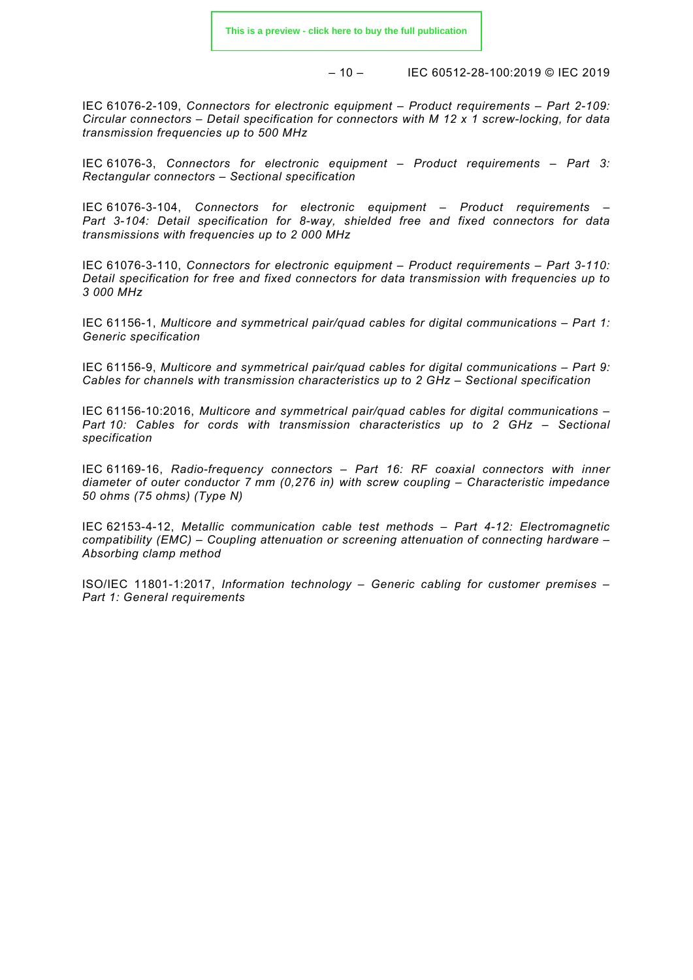$-10 -$  IEC 60512-28-100:2019 © IEC 2019

IEC 61076-2-109, *Connectors for electronic equipment – Product requirements – Part 2-109: Circular connectors – Detail specification for connectors with M 12 x 1 screw-locking, for data transmission frequencies up to 500 MHz*

IEC 61076-3, *Connectors for electronic equipment – Product requirements – Part 3: Rectangular connectors – Sectional specification*

IEC 61076-3-104, *Connectors for electronic equipment – Product requirements – Part 3-104: Detail specification for 8-way, shielded free and fixed connectors for data transmissions with frequencies up to 2 000 MHz*

IEC 61076-3-110, *Connectors for electronic equipment – Product requirements – Part 3-110: Detail specification for free and fixed connectors for data transmission with frequencies up to 3 000 MHz*

IEC 61156-1, *Multicore and symmetrical pair/quad cables for digital communications – Part 1: Generic specification*

IEC 61156-9, *Multicore and symmetrical pair/quad cables for digital communications – Part 9: Cables for channels with transmission characteristics up to 2 GHz – Sectional specification*

IEC 61156-10:2016, *Multicore and symmetrical pair/quad cables for digital communications – Part 10: Cables for cords with transmission characteristics up to 2 GHz – Sectional specification*

IEC 61169-16, *Radio-frequency connectors – Part 16: RF coaxial connectors with inner diameter of outer conductor 7 mm (0,276 in) with screw coupling – Characteristic impedance 50 ohms (75 ohms) (Type N)*

IEC 62153-4-12, *Metallic communication cable test methods – Part 4-12: Electromagnetic compatibility (EMC) – Coupling attenuation or screening attenuation of connecting hardware – Absorbing clamp method*

<span id="page-9-1"></span><span id="page-9-0"></span>ISO/IEC 11801-1:2017, *Information technology – Generic cabling for customer premises – Part 1: General requirements*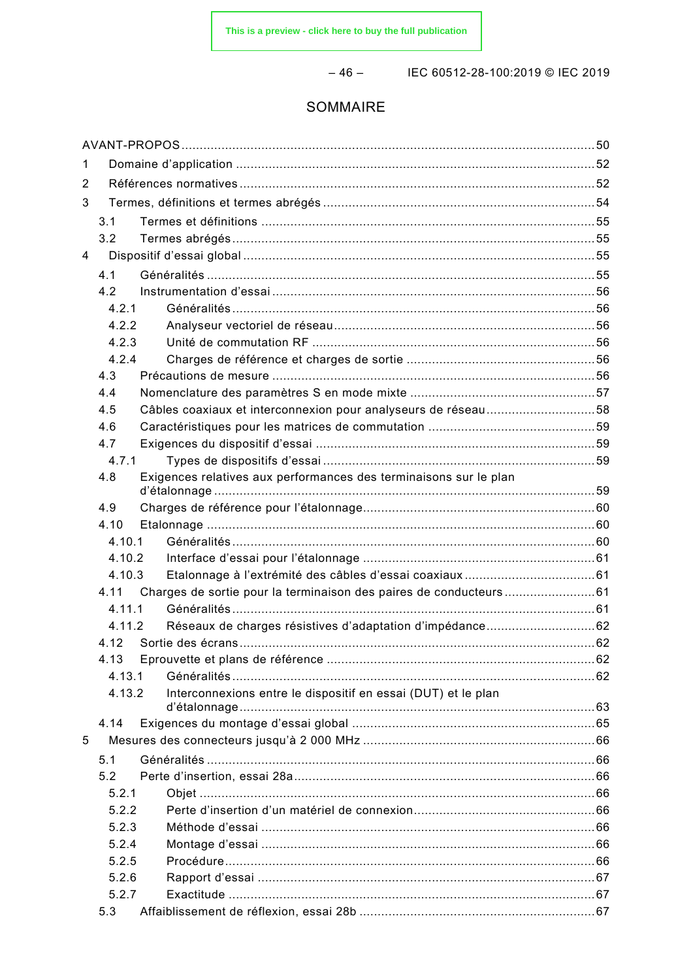$-46-$ 

IEC 60512-28-100:2019 © IEC 2019

# SOMMAIRE

| 1 |                  |                                                                   |  |
|---|------------------|-------------------------------------------------------------------|--|
| 2 |                  |                                                                   |  |
| 3 |                  |                                                                   |  |
|   | 3.1              |                                                                   |  |
|   | 3.2              |                                                                   |  |
| 4 |                  |                                                                   |  |
|   | 4.1              |                                                                   |  |
|   | 4.2              |                                                                   |  |
|   | 4.2.1            |                                                                   |  |
|   | 4.2.2            |                                                                   |  |
|   | 4.2.3            |                                                                   |  |
|   | 4.2.4            |                                                                   |  |
|   | 4.3              |                                                                   |  |
|   | 4.4              |                                                                   |  |
|   | 4.5              | Câbles coaxiaux et interconnexion pour analyseurs de réseau58     |  |
|   | 4.6              |                                                                   |  |
|   | 4.7              |                                                                   |  |
|   | 4.7.1            |                                                                   |  |
|   | 4.8              | Exigences relatives aux performances des terminaisons sur le plan |  |
|   | 4.9              |                                                                   |  |
|   | 4.10             |                                                                   |  |
|   | 4.10.1           |                                                                   |  |
|   | 4.10.2           |                                                                   |  |
|   | 4.10.3           |                                                                   |  |
|   | 4.11             | Charges de sortie pour la terminaison des paires de conducteurs61 |  |
|   | 4.11.1           |                                                                   |  |
|   | 4.11.2           | Réseaux de charges résistives d'adaptation d'impédance62          |  |
|   | 4.12             |                                                                   |  |
|   | 4.13             |                                                                   |  |
|   | 4.13.1<br>4.13.2 | Interconnexions entre le dispositif en essai (DUT) et le plan     |  |
|   |                  |                                                                   |  |
|   | 4.14             |                                                                   |  |
| 5 |                  |                                                                   |  |
|   | 5.1              |                                                                   |  |
|   | 5.2              |                                                                   |  |
|   | 5.2.1            |                                                                   |  |
|   | 5.2.2            |                                                                   |  |
|   | 5.2.3            |                                                                   |  |
|   | 5.2.4            |                                                                   |  |
|   | 5.2.5            |                                                                   |  |
|   | 5.2.6            |                                                                   |  |
|   | 5.2.7            |                                                                   |  |
|   | 5.3              |                                                                   |  |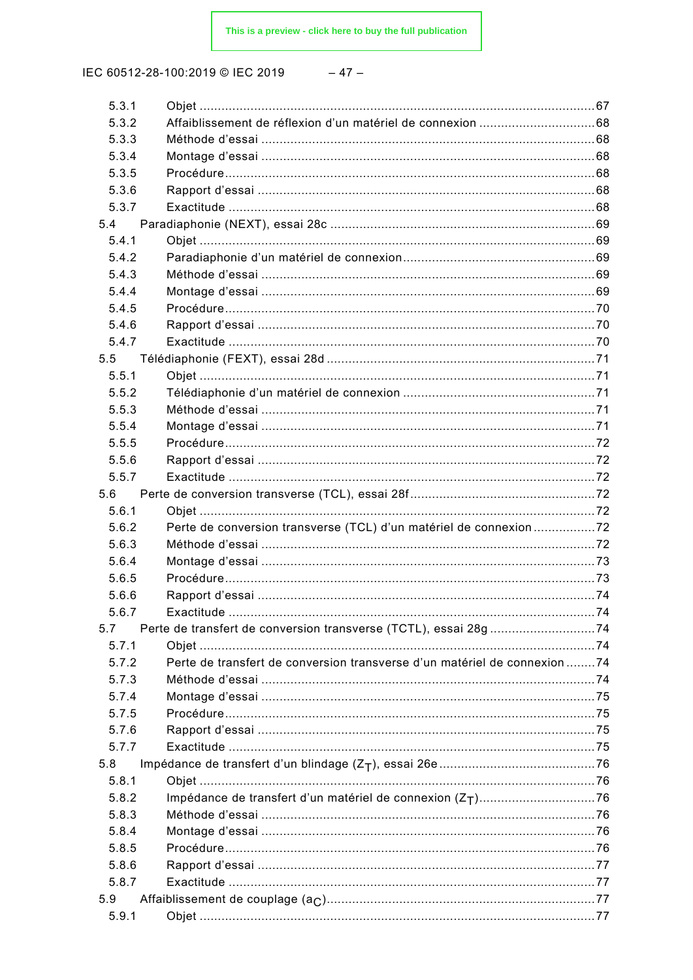IEC 60512-28-100:2019 © IEC 2019

|--|--|

| 5.3.1 |                                                                           |  |
|-------|---------------------------------------------------------------------------|--|
| 5.3.2 |                                                                           |  |
| 5.3.3 |                                                                           |  |
| 5.3.4 |                                                                           |  |
| 5.3.5 |                                                                           |  |
| 5.3.6 |                                                                           |  |
| 5.3.7 |                                                                           |  |
| 5.4   |                                                                           |  |
| 5.4.1 |                                                                           |  |
| 5.4.2 |                                                                           |  |
| 5.4.3 |                                                                           |  |
| 5.4.4 |                                                                           |  |
| 5.4.5 |                                                                           |  |
| 5.4.6 |                                                                           |  |
| 5.4.7 |                                                                           |  |
| 5.5   |                                                                           |  |
| 5.5.1 |                                                                           |  |
| 5.5.2 |                                                                           |  |
| 5.5.3 |                                                                           |  |
| 5.5.4 |                                                                           |  |
| 5.5.5 |                                                                           |  |
| 5.5.6 |                                                                           |  |
| 5.5.7 |                                                                           |  |
| 5.6   |                                                                           |  |
| 5.6.1 |                                                                           |  |
| 5.6.2 | Perte de conversion transverse (TCL) d'un matériel de connexion 72        |  |
| 5.6.3 |                                                                           |  |
| 5.6.4 |                                                                           |  |
| 5.6.5 |                                                                           |  |
| 5.6.6 |                                                                           |  |
| 5.6.7 |                                                                           |  |
| 5.7   | Perte de transfert de conversion transverse (TCTL), essai 28g 74          |  |
| 5.7.1 |                                                                           |  |
| 5.7.2 | Perte de transfert de conversion transverse d'un matériel de connexion 74 |  |
| 5.7.3 |                                                                           |  |
| 5.7.4 |                                                                           |  |
| 5.7.5 |                                                                           |  |
| 5.7.6 |                                                                           |  |
| 5.7.7 |                                                                           |  |
| 5.8   |                                                                           |  |
| 5.8.1 |                                                                           |  |
| 5.8.2 |                                                                           |  |
| 5.8.3 |                                                                           |  |
| 5.8.4 |                                                                           |  |
| 5.8.5 |                                                                           |  |
| 5.8.6 |                                                                           |  |
| 5.8.7 |                                                                           |  |
| 5.9   |                                                                           |  |
| 5.9.1 |                                                                           |  |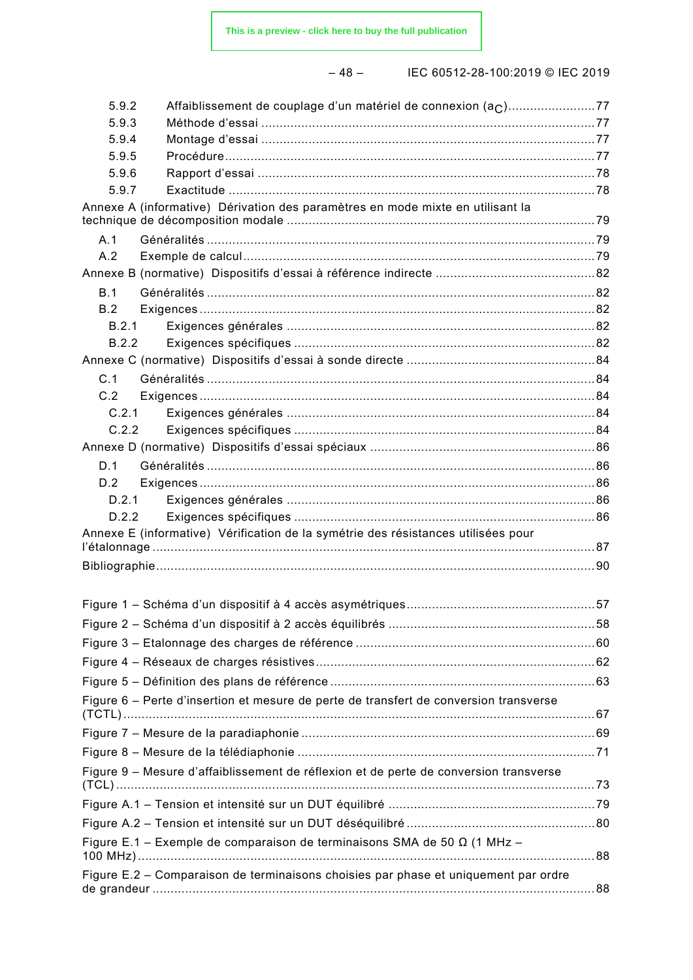|--|--|

# IEC 60512-28-100:2019 © IEC 2019

| 5.9.2 | Affaiblissement de couplage d'un matériel de connexion $(aC)$ 77                      |  |
|-------|---------------------------------------------------------------------------------------|--|
| 5.9.3 |                                                                                       |  |
| 5.9.4 |                                                                                       |  |
| 5.9.5 |                                                                                       |  |
| 5.9.6 |                                                                                       |  |
| 5.9.7 |                                                                                       |  |
|       | Annexe A (informative) Dérivation des paramètres en mode mixte en utilisant la        |  |
| A.1   |                                                                                       |  |
| A.2   |                                                                                       |  |
|       |                                                                                       |  |
| B.1   |                                                                                       |  |
| B.2   |                                                                                       |  |
| B.2.1 |                                                                                       |  |
| B.2.2 |                                                                                       |  |
|       |                                                                                       |  |
| C.1   |                                                                                       |  |
| C.2   |                                                                                       |  |
| C.2.1 |                                                                                       |  |
| C.2.2 |                                                                                       |  |
|       |                                                                                       |  |
| D.1   |                                                                                       |  |
| D.2   |                                                                                       |  |
| D.2.1 |                                                                                       |  |
| D.2.2 |                                                                                       |  |
|       | Annexe E (informative) Vérification de la symétrie des résistances utilisées pour     |  |
|       |                                                                                       |  |
|       |                                                                                       |  |
|       |                                                                                       |  |
|       |                                                                                       |  |
|       |                                                                                       |  |
|       |                                                                                       |  |
|       |                                                                                       |  |
|       |                                                                                       |  |
|       | Figure 6 - Perte d'insertion et mesure de perte de transfert de conversion transverse |  |
|       |                                                                                       |  |
|       |                                                                                       |  |
|       |                                                                                       |  |
|       | Figure 9 - Mesure d'affaiblissement de réflexion et de perte de conversion transverse |  |
|       |                                                                                       |  |
|       |                                                                                       |  |
|       |                                                                                       |  |
|       | Figure E.1 – Exemple de comparaison de terminaisons SMA de 50 $\Omega$ (1 MHz –       |  |
|       | Figure E.2 - Comparaison de terminaisons choisies par phase et uniquement par ordre   |  |
|       |                                                                                       |  |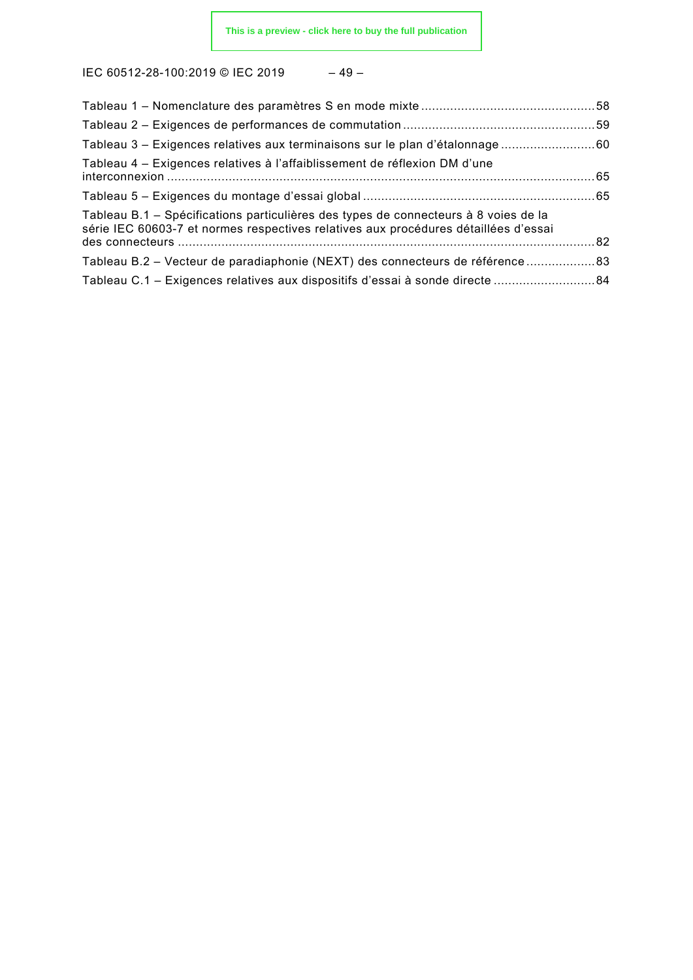IEC 60512-28-100:2019 © IEC 2019 – 49 –

| Tableau 3 – Exigences relatives aux terminaisons sur le plan d'étalonnage60                                                                                                |  |
|----------------------------------------------------------------------------------------------------------------------------------------------------------------------------|--|
| Tableau 4 – Exigences relatives à l'affaiblissement de réflexion DM d'une                                                                                                  |  |
|                                                                                                                                                                            |  |
| Tableau B.1 - Spécifications particulières des types de connecteurs à 8 voies de la<br>série IEC 60603-7 et normes respectives relatives aux procédures détaillées d'essai |  |
| Tableau B.2 - Vecteur de paradiaphonie (NEXT) des connecteurs de référence 83                                                                                              |  |
| Tableau C.1 – Exigences relatives aux dispositifs d'essai à sonde directe 84                                                                                               |  |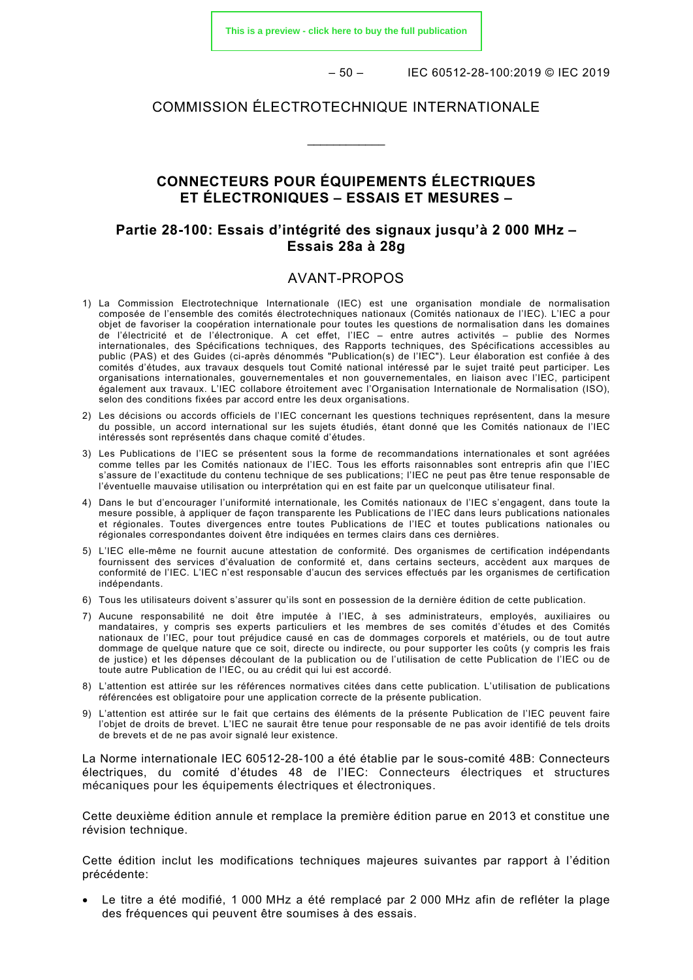**[This is a preview - click here to buy the full publication](https://webstore.iec.ch/publication/28694&preview)**

 $-50 -$  IEC 60512-28-100:2019 © IEC 2019

#### COMMISSION ÉLECTROTECHNIQUE INTERNATIONALE

\_\_\_\_\_\_\_\_\_\_\_\_

# **CONNECTEURS POUR ÉQUIPEMENTS ÉLECTRIQUES ET ÉLECTRONIQUES – ESSAIS ET MESURES –**

# **Partie 28-100: Essais d'intégrité des signaux jusqu'à 2 000 MHz – Essais 28a à 28g**

#### AVANT-PROPOS

- <span id="page-14-0"></span>1) La Commission Electrotechnique Internationale (IEC) est une organisation mondiale de normalisation composée de l'ensemble des comités électrotechniques nationaux (Comités nationaux de l'IEC). L'IEC a pour objet de favoriser la coopération internationale pour toutes les questions de normalisation dans les domaines de l'électricité et de l'électronique. A cet effet, l'IEC – entre autres activités – publie des Normes internationales, des Spécifications techniques, des Rapports techniques, des Spécifications accessibles au public (PAS) et des Guides (ci-après dénommés "Publication(s) de l'IEC"). Leur élaboration est confiée à des comités d'études, aux travaux desquels tout Comité national intéressé par le sujet traité peut participer. Les organisations internationales, gouvernementales et non gouvernementales, en liaison avec l'IEC, participent également aux travaux. L'IEC collabore étroitement avec l'Organisation Internationale de Normalisation (ISO), selon des conditions fixées par accord entre les deux organisations.
- 2) Les décisions ou accords officiels de l'IEC concernant les questions techniques représentent, dans la mesure du possible, un accord international sur les sujets étudiés, étant donné que les Comités nationaux de l'IEC intéressés sont représentés dans chaque comité d'études.
- 3) Les Publications de l'IEC se présentent sous la forme de recommandations internationales et sont agréées comme telles par les Comités nationaux de l'IEC. Tous les efforts raisonnables sont entrepris afin que l'IEC s'assure de l'exactitude du contenu technique de ses publications; l'IEC ne peut pas être tenue responsable de l'éventuelle mauvaise utilisation ou interprétation qui en est faite par un quelconque utilisateur final.
- 4) Dans le but d'encourager l'uniformité internationale, les Comités nationaux de l'IEC s'engagent, dans toute la mesure possible, à appliquer de façon transparente les Publications de l'IEC dans leurs publications nationales et régionales. Toutes divergences entre toutes Publications de l'IEC et toutes publications nationales ou régionales correspondantes doivent être indiquées en termes clairs dans ces dernières.
- 5) L'IEC elle-même ne fournit aucune attestation de conformité. Des organismes de certification indépendants fournissent des services d'évaluation de conformité et, dans certains secteurs, accèdent aux marques de conformité de l'IEC. L'IEC n'est responsable d'aucun des services effectués par les organismes de certification indépendants.
- 6) Tous les utilisateurs doivent s'assurer qu'ils sont en possession de la dernière édition de cette publication.
- 7) Aucune responsabilité ne doit être imputée à l'IEC, à ses administrateurs, employés, auxiliaires ou mandataires, y compris ses experts particuliers et les membres de ses comités d'études et des Comités nationaux de l'IEC, pour tout préjudice causé en cas de dommages corporels et matériels, ou de tout autre dommage de quelque nature que ce soit, directe ou indirecte, ou pour supporter les coûts (y compris les frais de justice) et les dépenses découlant de la publication ou de l'utilisation de cette Publication de l'IEC ou de toute autre Publication de l'IEC, ou au crédit qui lui est accordé.
- 8) L'attention est attirée sur les références normatives citées dans cette publication. L'utilisation de publications référencées est obligatoire pour une application correcte de la présente publication.
- 9) L'attention est attirée sur le fait que certains des éléments de la présente Publication de l'IEC peuvent faire l'objet de droits de brevet. L'IEC ne saurait être tenue pour responsable de ne pas avoir identifié de tels droits de brevets et de ne pas avoir signalé leur existence.

La Norme internationale IEC 60512-28-100 a été établie par le sous-comité 48B: Connecteurs électriques, du comité d'études 48 de l'IEC: Connecteurs électriques et structures mécaniques pour les équipements électriques et électroniques.

Cette deuxième édition annule et remplace la première édition parue en 2013 et constitue une révision technique.

Cette édition inclut les modifications techniques majeures suivantes par rapport à l'édition précédente:

• Le titre a été modifié, 1 000 MHz a été remplacé par 2 000 MHz afin de refléter la plage des fréquences qui peuvent être soumises à des essais.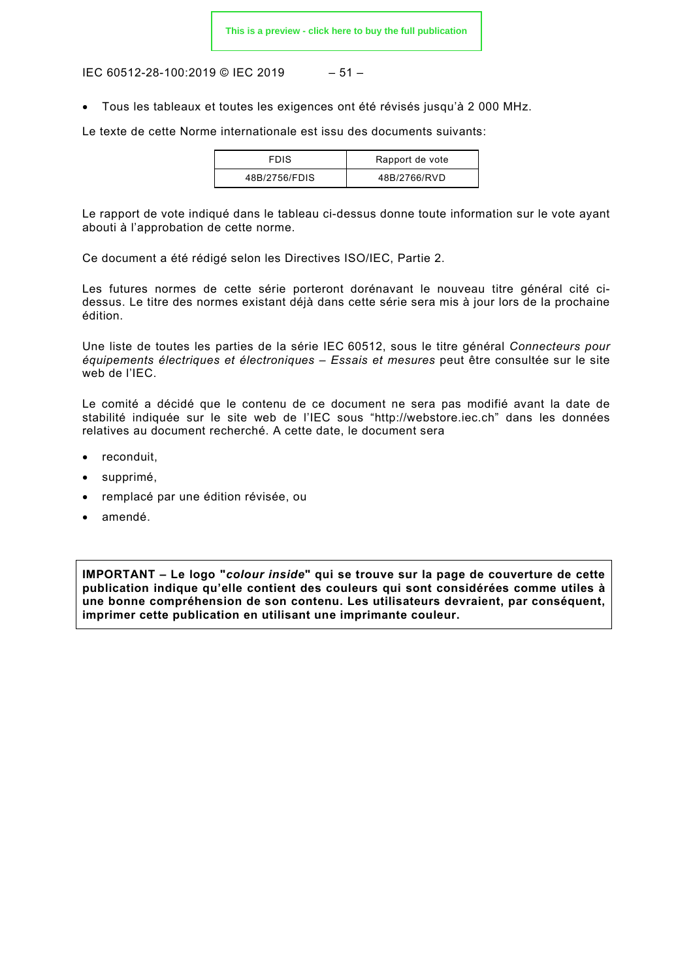IEC 60512-28-100:2019 © IEC 2019 – 51 –

• Tous les tableaux et toutes les exigences ont été révisés jusqu'à 2 000 MHz.

Le texte de cette Norme internationale est issu des documents suivants:

| <b>FDIS</b>   | Rapport de vote |
|---------------|-----------------|
| 48B/2756/FDIS | 48B/2766/RVD    |

Le rapport de vote indiqué dans le tableau ci-dessus donne toute information sur le vote ayant abouti à l'approbation de cette norme.

Ce document a été rédigé selon les Directives ISO/IEC, Partie 2.

Les futures normes de cette série porteront dorénavant le nouveau titre général cité cidessus. Le titre des normes existant déjà dans cette série sera mis à jour lors de la prochaine édition.

Une liste de toutes les parties de la série IEC 60512, sous le titre général *Connecteurs pour équipements électriques et électroniques – Essais et mesures* peut être consultée sur le site web de l'IEC.

Le comité a décidé que le contenu de ce document ne sera pas modifié avant la date de stabilité indiquée sur le site web de l'IEC sous "http://webstore.iec.ch" dans les données relatives au document recherché. A cette date, le document sera

- reconduit,
- supprimé,
- remplacé par une édition révisée, ou
- amendé.

**IMPORTANT – Le logo "***colour inside***" qui se trouve sur la page de couverture de cette publication indique qu'elle contient des couleurs qui sont considérées comme utiles à une bonne compréhension de son contenu. Les utilisateurs devraient, par conséquent, imprimer cette publication en utilisant une imprimante couleur.**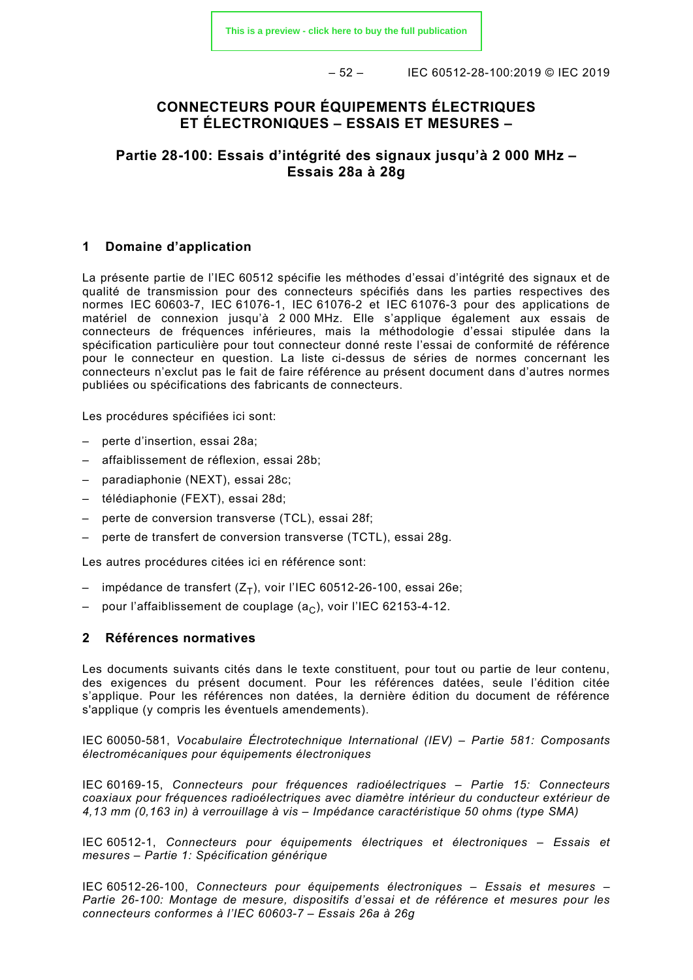$-52 -$  IEC 60512-28-100:2019 © IEC 2019

# **CONNECTEURS POUR ÉQUIPEMENTS ÉLECTRIQUES ET ÉLECTRONIQUES – ESSAIS ET MESURES –**

# **Partie 28-100: Essais d'intégrité des signaux jusqu'à 2 000 MHz – Essais 28a à 28g**

### <span id="page-16-0"></span>**1 Domaine d'application**

La présente partie de l'IEC 60512 spécifie les méthodes d'essai d'intégrité des signaux et de qualité de transmission pour des connecteurs spécifiés dans les parties respectives des normes IEC 60603-7, IEC 61076-1, IEC 61076-2 et IEC 61076-3 pour des applications de matériel de connexion jusqu'à 2 000 MHz. Elle s'applique également aux essais de connecteurs de fréquences inférieures, mais la méthodologie d'essai stipulée dans la spécification particulière pour tout connecteur donné reste l'essai de conformité de référence pour le connecteur en question. La liste ci-dessus de séries de normes concernant les connecteurs n'exclut pas le fait de faire référence au présent document dans d'autres normes publiées ou spécifications des fabricants de connecteurs.

Les procédures spécifiées ici sont:

- perte d'insertion, essai 28a;
- affaiblissement de réflexion, essai 28b;
- paradiaphonie (NEXT), essai 28c;
- télédiaphonie (FEXT), essai 28d;
- perte de conversion transverse (TCL), essai 28f;
- perte de transfert de conversion transverse (TCTL), essai 28g.

Les autres procédures citées ici en référence sont:

- impédance de transfert  $(Z_T)$ , voir l'IEC 60512-26-100, essai 26e;
- pour l'affaiblissement de couplage  $(a<sub>c</sub>)$ , voir l'IEC 62153-4-12.

#### <span id="page-16-1"></span>**2 Références normatives**

Les documents suivants cités dans le texte constituent, pour tout ou partie de leur contenu, des exigences du présent document. Pour les références datées, seule l'édition citée s'applique. Pour les références non datées, la dernière édition du document de référence s'applique (y compris les éventuels amendements).

IEC 60050-581, *Vocabulaire Électrotechnique International (IEV) – Partie 581: Composants électromécaniques pour équipements électroniques* 

IEC 60169-15, *Connecteurs pour fréquences radioélectriques – Partie 15: Connecteurs coaxiaux pour fréquences radioélectriques avec diamètre intérieur du conducteur extérieur de 4,13 mm (0,163 in) à verrouillage à vis – Impédance caractéristique 50 ohms (type SMA)*

IEC 60512-1, *Connecteurs pour équipements électriques et électroniques – Essais et mesures – Partie 1: Spécification générique*

IEC 60512-26-100, *Connecteurs pour équipements électroniques – Essais et mesures – Partie 26-100: Montage de mesure, dispositifs d'essai et de référence et mesures pour les connecteurs conformes à l'IEC 60603-7 – Essais 26a à 26g*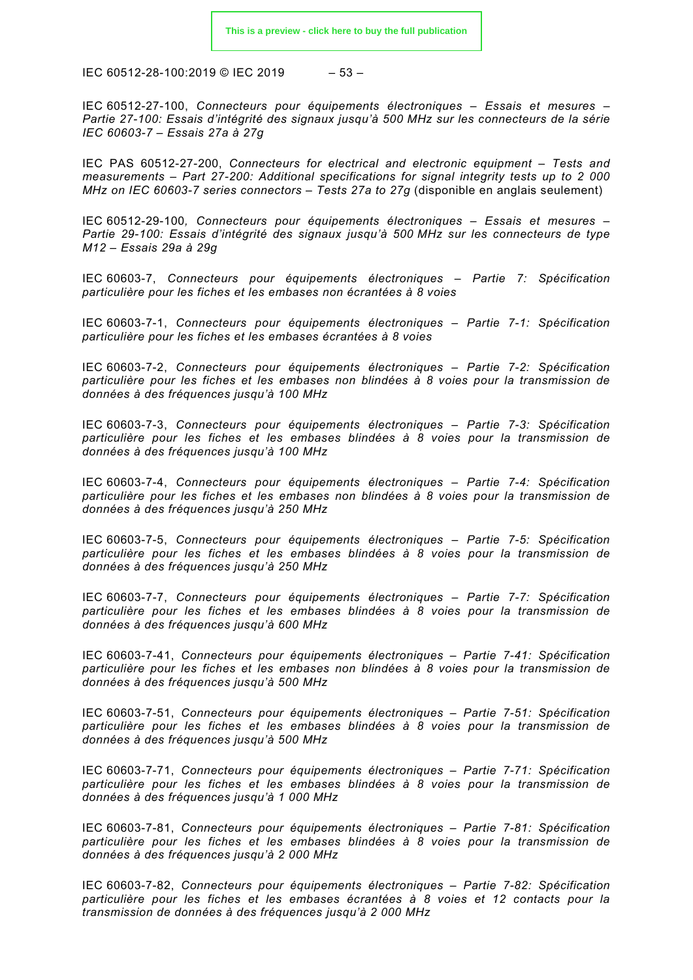IEC 60512-28-100:2019 © IEC 2019 – 53 –

IEC 60512-27-100, *Connecteurs pour équipements électroniques – Essais et mesures – Partie 27-100: Essais d'intégrité des signaux jusqu'à 500 MHz sur les connecteurs de la série IEC 60603-7 – Essais 27a à 27g*

IEC PAS 60512-27-200, *Connecteurs for electrical and electronic equipment – Tests and measurements – Part 27-200: Additional specifications for signal integrity tests up to 2 000 MHz on IEC 60603-7 series connectors – Tests 27a to 27g (disponible en anglais seulement)* 

IEC 60512-29-100*, Connecteurs pour équipements électroniques – Essais et mesures – Partie 29-100: Essais d'intégrité des signaux jusqu'à 500 MHz sur les connecteurs de type M12 – Essais 29a à 29g*

IEC 60603-7, *Connecteurs pour équipements électroniques – Partie 7: Spécification particulière pour les fiches et les embases non écrantées à 8 voies*

IEC 60603-7-1, *Connecteurs pour équipements électroniques – Partie 7-1: Spécification particulière pour les fiches et les embases écrantées à 8 voies*

IEC 60603-7-2, *Connecteurs pour équipements électroniques – Partie 7-2: Spécification particulière pour les fiches et les embases non blindées à 8 voies pour la transmission de données à des fréquences jusqu'à 100 MHz*

IEC 60603-7-3, *Connecteurs pour équipements électroniques – Partie 7-3: Spécification particulière pour les fiches et les embases blindées à 8 voies pour la transmission de données à des fréquences jusqu'à 100 MHz*

IEC 60603-7-4, *Connecteurs pour équipements électroniques – Partie 7-4: Spécification particulière pour les fiches et les embases non blindées à 8 voies pour la transmission de données à des fréquences jusqu'à 250 MHz*

IEC 60603-7-5, *Connecteurs pour équipements électroniques – Partie 7-5: Spécification particulière pour les fiches et les embases blindées à 8 voies pour la transmission de données à des fréquences jusqu'à 250 MHz*

IEC 60603-7-7, *Connecteurs pour équipements électroniques – Partie 7-7: Spécification particulière pour les fiches et les embases blindées à 8 voies pour la transmission de données à des fréquences jusqu'à 600 MHz*

IEC 60603-7-41, *Connecteurs pour équipements électroniques – Partie 7-41: Spécification particulière pour les fiches et les embases non blindées à 8 voies pour la transmission de données à des fréquences jusqu'à 500 MHz*

IEC 60603-7-51, *Connecteurs pour équipements électroniques – Partie 7-51: Spécification particulière pour les fiches et les embases blindées à 8 voies pour la transmission de données à des fréquences jusqu'à 500 MHz*

IEC 60603-7-71, *Connecteurs pour équipements électroniques – Partie 7-71: Spécification particulière pour les fiches et les embases blindées à 8 voies pour la transmission de données à des fréquences jusqu'à 1 000 MHz*

IEC 60603-7-81, *Connecteurs pour équipements électroniques – Partie 7-81: Spécification particulière pour les fiches et les embases blindées à 8 voies pour la transmission de données à des fréquences jusqu'à 2 000 MHz*

IEC 60603-7-82, *Connecteurs pour équipements électroniques – Partie 7-82: Spécification particulière pour les fiches et les embases écrantées à 8 voies et 12 contacts pour la transmission de données à des fréquences jusqu'à 2 000 MHz*